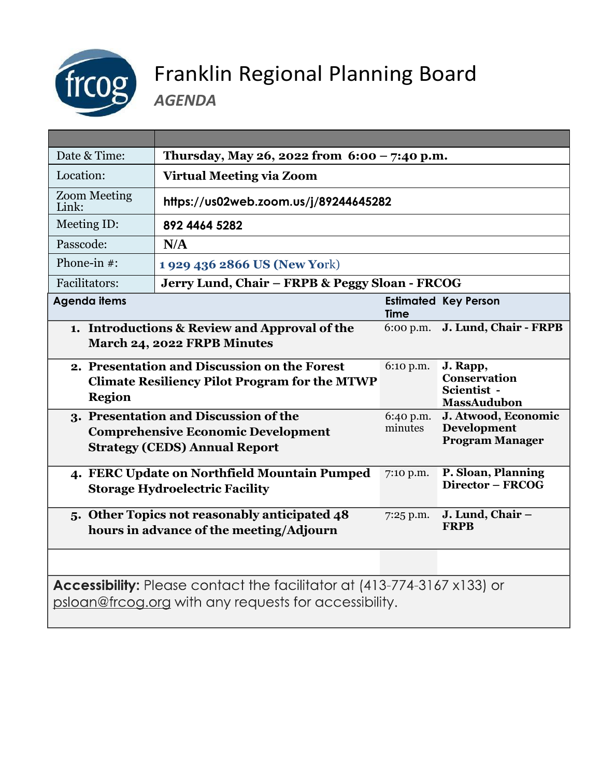

## Franklin Regional Planning Board

*AGENDA*

| Date & Time:                                                                                                                            | Thursday, May 26, 2022 from $6:00 - 7:40$ p.m.                                           |                      |                                                                      |
|-----------------------------------------------------------------------------------------------------------------------------------------|------------------------------------------------------------------------------------------|----------------------|----------------------------------------------------------------------|
| Location:                                                                                                                               | <b>Virtual Meeting via Zoom</b>                                                          |                      |                                                                      |
| <b>Zoom Meeting</b><br>Link:                                                                                                            | https://us02web.zoom.us/j/89244645282                                                    |                      |                                                                      |
| Meeting ID:                                                                                                                             | 892 4464 5282                                                                            |                      |                                                                      |
| Passcode:                                                                                                                               | N/A                                                                                      |                      |                                                                      |
| Phone-in $#$ :                                                                                                                          | 1 929 436 2866 US (New York)                                                             |                      |                                                                      |
| Facilitators:                                                                                                                           | Jerry Lund, Chair - FRPB & Peggy Sloan - FRCOG                                           |                      |                                                                      |
| <b>Agenda items</b>                                                                                                                     |                                                                                          | <b>Time</b>          | <b>Estimated Key Person</b>                                          |
| 1. Introductions & Review and Approval of the<br>March 24, 2022 FRPB Minutes                                                            |                                                                                          | 6:00 p.m.            | J. Lund, Chair - FRPB                                                |
| 2. Presentation and Discussion on the Forest<br><b>Climate Resiliency Pilot Program for the MTWP</b><br><b>Region</b>                   |                                                                                          | 6:10 p.m.            | J. Rapp,<br><b>Conservation</b><br>Scientist -<br><b>MassAudubon</b> |
| 3. Presentation and Discussion of the<br><b>Comprehensive Economic Development</b><br><b>Strategy (CEDS) Annual Report</b>              |                                                                                          | 6:40 p.m.<br>minutes | J. Atwood, Economic<br><b>Development</b><br><b>Program Manager</b>  |
|                                                                                                                                         | 4. FERC Update on Northfield Mountain Pumped<br><b>Storage Hydroelectric Facility</b>    | 7:10 p.m.            | P. Sloan, Planning<br>Director - FRCOG                               |
|                                                                                                                                         | 5. Other Topics not reasonably anticipated 48<br>hours in advance of the meeting/Adjourn | 7:25 p.m.            | J. Lund, Chair -<br><b>FRPB</b>                                      |
|                                                                                                                                         |                                                                                          |                      |                                                                      |
| <b>Accessibility:</b> Please contact the facilitator at (413-774-3167 x133) or<br>psloan@frcog.org with any requests for accessibility. |                                                                                          |                      |                                                                      |